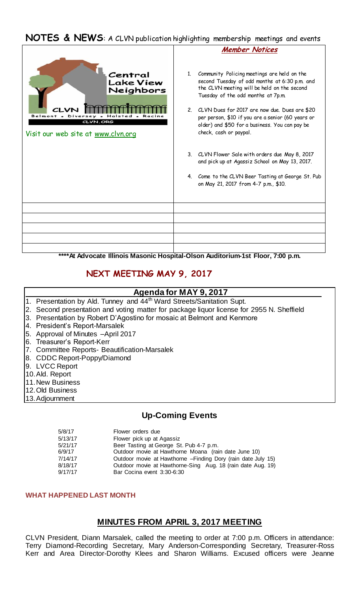### **NOTES & NEWS**: A CLVN publication highlighting membership meetings and events



**\*\*\*\*At Advocate Illinois Masonic Hospital-Olson Auditorium-1st Floor, 7:00 p.m.**

# **NEXT MEETING MAY 9, 2017**

### **Agenda for MAY 9, 2017**

- 1. Presentation by Ald. Tunney and 44<sup>th</sup> Ward Streets/Sanitation Supt.
- 2. Second presentation and voting matter for package liquor license for 2955 N. Sheffield
- 3. Presentation by Robert D'Agostino for mosaic at Belmont and Kenmore
- 4. President's Report-Marsalek
- 5. Approval of Minutes –April 2017
- 6. Treasurer's Report-Kerr
- 7. Committee Reports- Beautification-Marsalek
- 8. CDDC Report-Poppy/Diamond
- 9. LVCC Report
- 10.Ald. Report
- 11.New Business
- 12.Old Business
- 13.Adjournment

### **Up-Coming Events**

| 5/8/17  | Flower orders due                                             |
|---------|---------------------------------------------------------------|
| 5/13/17 | Flower pick up at Agassiz                                     |
| 5/21/17 | Beer Tasting at George St. Pub 4-7 p.m.                       |
| 6/9/17  | Outdoor movie at Hawthorne Moana (rain date June 10)          |
| 7/14/17 | Outdoor movie at Hawthorne - Finding Dory (rain date July 15) |
| 8/18/17 | Outdoor movie at Hawthorne-Sing Aug. 18 (rain date Aug. 19)   |
| 9/17/17 | Bar Cocina event 3:30-6:30                                    |

#### **WHAT HAPPENED LAST MONTH**

## **MINUTES FROM APRIL 3, 2017 MEETING**

CLVN President, Diann Marsalek, called the meeting to order at 7:00 p.m. Officers in attendance: Terry Diamond-Recording Secretary, Mary Anderson-Corresponding Secretary, Treasurer-Ross Kerr and Area Director-Dorothy Klees and Sharon Williams. Excused officers were Jeanne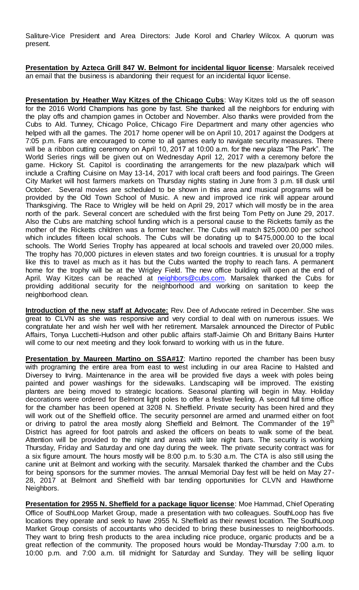Saliture-Vice President and Area Directors: Jude Korol and Charley Wilcox. A quorum was present.

**Presentation by Azteca Grill 847 W. Belmont for incidental liquor license**: Marsalek received an email that the business is abandoning their request for an incidental liquor license.

**Presentation by Heather Way Kitzes of the Chicago Cubs**: Way Kitzes told us the off season for the 2016 World Champions has gone by fast. She thanked all the neighbors for enduring with the play offs and champion games in October and November. Also thanks were provided from the Cubs to Ald. Tunney, Chicago Police, Chicago Fire Department and many other agencies who helped with all the games. The 2017 home opener will be on April 10, 2017 against the Dodgers at 7:05 p.m. Fans are encouraged to come to all games early to navigate security measures. There will be a ribbon cutting ceremony on April 10, 2017 at 10:00 a.m. for the new plaza "The Park". The World Series rings will be given out on Wednesday April 12, 2017 with a ceremony before the game. Hickory St. Capitol is coordinating the arrangements for the new plaza/park which will include a Crafting Cuisine on May 13-14, 2017 with local craft beers and food pairings. The Green City Market will host farmers markets on Thursday nights stating in June from 3 p.m. till dusk until October. Several movies are scheduled to be shown in this area and musical programs will be provided by the Old Town School of Music. A new and improved ice rink will appear around Thanksgiving. The Race to Wrigley will be held on April 29, 2017 which will mostly be in the area north of the park. Several concert are scheduled with the first being Tom Petty on June 29, 2017. Also the Cubs are matching school funding which is a personal cause to the Ricketts family as the mother of the Ricketts children was a former teacher. The Cubs will match \$25,000.00 per school which includes fifteen local schools. The Cubs will be donating up to \$475,000.00 to the local schools. The World Series Trophy has appeared at local schools and traveled over 20,000 miles. The trophy has 70,000 pictures in eleven states and two foreign countries. It is unusual for a trophy like this to travel as much as it has but the Cubs wanted the trophy to reach fans. A permanent home for the trophy will be at the Wrigley Field. The new office building will open at the end of April. Way Kitzes can be reached at [neighbors@cubs.com](mailto:neighbors@cubs.com). Marsalek thanked the Cubs for providing additional security for the neighborhood and working on sanitation to keep the neighborhood clean.

**Introduction of the new staff at Advocate:** Rev. Dee of Advocate retired in December. She was great to CLVN as she was responsive and very cordial to deal with on numerous issues. We congratulate her and wish her well with her retirement. Marsalek announced the Director of Public Affairs, Tonya Lucchetti-Hudson and other public affairs staff-Jaimie Oh and Brittany Bains Hunter will come to our next meeting and they look forward to working with us in the future.

**Presentation by Maureen Martino on SSA#17:** Martino reported the chamber has been busy with programing the entire area from east to west including in our area Racine to Halsted and Diversey to Irving. Maintenance in the area will be provided five days a week with poles being painted and power washings for the sidewalks. Landscaping will be improved. The existing planters are being moved to strategic locations. Seasonal planting will begin in May. Holiday decorations were ordered for Belmont light poles to offer a festive feeling. A second full time office for the chamber has been opened at 3208 N. Sheffield. Private security has been hired and they will work out of the Sheffield office. The security personnel are armed and unarmed either on foot or driving to patrol the area mostly along Sheffield and Belmont. The Commander of the 19<sup>th</sup> District has agreed for foot patrols and asked the officers on beats to walk some of the beat. Attention will be provided to the night and areas with late night bars. The security is working Thursday, Friday and Saturday and one day during the week. The private security contract was for a six figure amount. The hours mostly will be 8:00 p.m. to 5:30 a.m. The CTA is also still using the canine unit at Belmont and working with the security. Marsalek thanked the chamber and the Cubs for being sponsors for the summer movies. The annual Memorial Day fest will be held on May 27- 28, 2017 at Belmont and Sheffield with bar tending opportunities for CLVN and Hawthorne Neighbors.

**Presentation for 2955 N. Sheffield for a package liquor license**: Moe Hammad, Chief Operating Office of SouthLoop Market Group, made a presentation with two colleagues. SouthLoop has five locations they operate and seek to have 2955 N. Sheffield as their newest location. The SouthLoop Market Group consists of accountants who decided to bring these businesses to neighborhoods. They want to bring fresh products to the area including nice produce, organic products and be a great reflection of the community. The proposed hours would be Monday-Thursday 7:00 a.m. to 10:00 p.m. and 7:00 a.m. till midnight for Saturday and Sunday. They will be selling liquor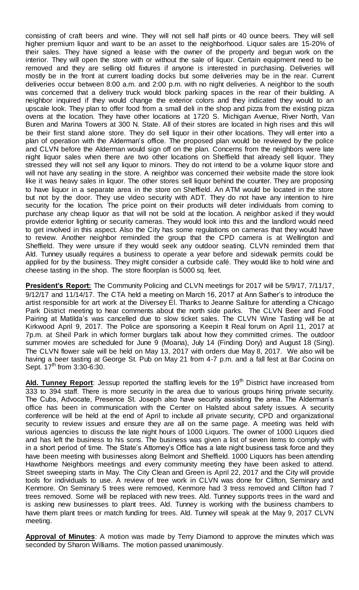consisting of craft beers and wine. They will not sell half pints or 40 ounce beers. They will sell higher premium liquor and want to be an asset to the neighborhood. Liquor sales are 15-20% of their sales. They have signed a lease with the owner of the property and begun work on the interior. They will open the store with or without the sale of liquor. Certain equipment need to be removed and they are selling old fixtures if anyone is interested in purchasing. Deliveries will mostly be in the front at current loading docks but some deliveries may be in the rear. Current deliveries occur between 8:00 a.m. and 2:00 p.m. with no night deliveries. A neighbor to the south was concerned that a delivery truck would block parking spaces in the rear of their building. A neighbor inquired if they would change the exterior colors and they indicated they would to an upscale look. They plan to offer food from a small deli in the shop and pizza from the existing pizza ovens at the location. They have other locations at 1720 S. Michigan Avenue, River North, Van Buren and Marina Towers at 300 N. State. All of their stores are located in high rises and this will be their first stand alone store. They do sell liquor in their other locations. They will enter into a plan of operation with the Alderman's office. The proposed plan would be reviewed by the police and CLVN before the Alderman would sign off on the plan. Concerns from the neighbors were late night liquor sales when there are two other locations on Sheffield that already sell liquor. They stressed they will not sell any liquor to minors. They do not intend to be a volume liquor store and will not have any seating in the store. A neighbor was concerned their website made the store look like it was heavy sales in liquor. The other stores sell liquor behind the counter. They are proposing to have liquor in a separate area in the store on Sheffield. An ATM would be located in the store but not by the door. They use video security with ADT. They do not have any intention to hire security for the location. The price point on their products will deter individuals from coming to purchase any cheap liquor as that will not be sold at the location. A neighbor asked if they would provide exterior lighting or security cameras. They would look into this and the landlord would need to get involved in this aspect. Also the City has some regulations on cameras that they would have to review. Another neighbor reminded the group that the CPD camera is at Wellington and Sheffield. They were unsure if they would seek any outdoor seating. CLVN reminded them that Ald. Tunney usually requires a business to operate a year before and sidewalk permits could be applied for by the business. They might consider a curbside café. They would like to hold wine and cheese tasting in the shop. The store floorplan is 5000 sq. feet.

**President's Report:** The Community Policing and CLVN meetings for 2017 will be 5/9/17, 7/11/17, 9/12/17 and 11/14/17. The CTA held a meeting on March 16, 2017 at Ann Sather's to introduce the artist responsible for art work at the Diversey El. Thanks to Jeanne Saliture for attending a Chicago Park District meeting to hear comments about the north side parks. The CLVN Beer and Food Pairing at Matilda's was cancelled due to slow ticket sales. The CLVN Wine Tasting will be at Kirkwood April 9, 2017. The Police are sponsoring a Keepin It Real forum on April 11, 2017 at 7p.m. at Sheil Park in which former burglars talk about how they committed crimes. The outdoor summer movies are scheduled for June 9 (Moana), July 14 (Finding Dory) and August 18 (Sing). The CLVN flower sale will be held on May 13, 2017 with orders due May 8, 2017. We also will be having a beer tasting at George St. Pub on May 21 from 4-7 p.m. and a fall fest at Bar Cocina on Sept. 17<sup>th</sup> from 3:30-6:30.

Ald. Tunney Report: Jessup reported the staffing levels for the 19<sup>th</sup> District have increased from 333 to 394 staff. There is more security in the area due to various groups hiring private security. The Cubs, Advocate, Presence St. Joseph also have security assisting the area. The Alderman's office has been in communication with the Center on Halsted about safety issues. A security conference will be held at the end of April to include all private security, CPD and organizational security to review issues and ensure they are all on the same page. A meeting was held with various agencies to discuss the late night hours of 1000 Liquors. The owner of 1000 Liquors died and has left the business to his sons. The business was given a list of seven items to comply with in a short period of time. The State's Attorney's Office has a late night business task force and they have been meeting with businesses along Belmont and Sheffield. 1000 Liquors has been attending Hawthorne Neighbors meetings and every community meeting they have been asked to attend. Street sweeping starts in May. The City Clean and Green is April 22, 2017 and the City will provide tools for individuals to use. A review of tree work in CLVN was done for Clifton, Seminary and Kenmore. On Seminary 5 trees were removed, Kenmore had 3 tress removed and Clifton had 7 trees removed. Some will be replaced with new trees. Ald. Tunney supports trees in the ward and is asking new businesses to plant trees. Ald. Tunney is working with the business chambers to have them plant trees or match funding for trees. Ald. Tunney will speak at the May 9, 2017 CLVN meeting.

**Approval of Minutes**: A motion was made by Terry Diamond to approve the minutes which was seconded by Sharon Williams. The motion passed unanimously.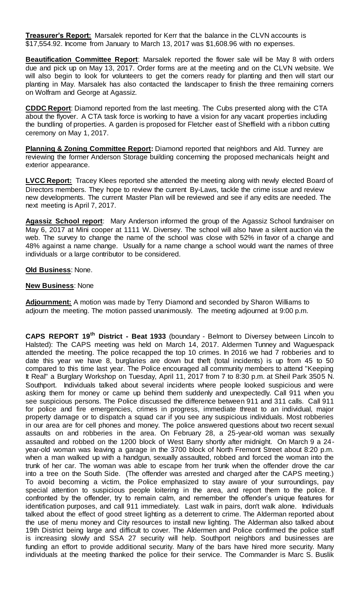**Treasurer's Report:** Marsalek reported for Kerr that the balance in the CLVN accounts is \$17,554.92. Income from January to March 13, 2017 was \$1,608.96 with no expenses.

**Beautification Committee Report**: Marsalek reported the flower sale will be May 8 with orders due and pick up on May 13, 2017. Order forms are at the meeting and on the CLVN website. We will also begin to look for volunteers to get the corners ready for planting and then will start our planting in May. Marsalek has also contacted the landscaper to finish the three remaining corners on Wolfram and George at Agassiz.

**CDDC Report**: Diamond reported from the last meeting. The Cubs presented along with the CTA about the flyover. A CTA task force is working to have a vision for any vacant properties including the bundling of properties. A garden is proposed for Fletcher east of Sheffield with a ribbon cutting ceremony on May 1, 2017.

**Planning & Zoning Committee Report:** Diamond reported that neighbors and Ald. Tunney are reviewing the former Anderson Storage building concerning the proposed mechanicals height and exterior appearance.

**LVCC Report:** Tracey Klees reported she attended the meeting along with newly elected Board of Directors members. They hope to review the current By-Laws, tackle the crime issue and review new developments. The current Master Plan will be reviewed and see if any edits are needed. The next meeting is April 7, 2017.

**Agassiz School report**: Mary Anderson informed the group of the Agassiz School fundraiser on May 6, 2017 at Mini cooper at 1111 W. Diversey. The school will also have a silent auction via the web. The survey to change the name of the school was close with 52% in favor of a change and 48% against a name change. Usually for a name change a school would want the names of three individuals or a large contributor to be considered.

#### **Old Business**: None.

#### **New Business**: None

**Adjournment:** A motion was made by Terry Diamond and seconded by Sharon Williams to adjourn the meeting. The motion passed unanimously. The meeting adjourned at 9:00 p.m.

**CAPS REPORT 19th District - Beat 1933** (boundary - Belmont to Diversey between Lincoln to Halsted): The CAPS meeting was held on March 14, 2017. Aldermen Tunney and Waguespack attended the meeting. The police recapped the top 10 crimes. In 2016 we had 7 robberies and to date this year we have 8, burglaries are down but theft (total incidents) is up from 45 to 50 compared to this time last year. The Police encouraged all community members to attend "Keeping It Real" a Burglary Workshop on Tuesday, April 11, 2017 from 7 to 8:30 p.m. at Sheil Park 3505 N. Southport. Individuals talked about several incidents where people looked suspicious and were asking them for money or came up behind them suddenly and unexpectedly. Call 911 when you see suspicious persons. The Police discussed the difference between 911 and 311 calls. Call 911 for police and fire emergencies, crimes in progress, immediate threat to an individual, major property damage or to dispatch a squad car if you see any suspicious individuals. Most robberies in our area are for cell phones and money. The police answered questions about two recent sexual assaults on and robberies in the area. On February 28, a 25-year-old woman was sexually assaulted and robbed on the 1200 block of West Barry shortly after midnight. On March 9 a 24 year-old woman was leaving a garage in the 3700 block of North Fremont Street about 8:20 p.m. when a man walked up with a handgun, sexually assaulted, robbed and forced the woman into the trunk of her car. The woman was able to escape from her trunk when the offender drove the car into a tree on the South Side. (The offender was arrested and charged after the CAPS meeting.) To avoid becoming a victim, the Police emphasized to stay aware of your surroundings, pay special attention to suspicious people loitering in the area, and report them to the police. If confronted by the offender, try to remain calm, and remember the offender's unique features for identification purposes, and call 911 immediately. Last walk in pairs, don't walk alone. Individuals talked about the effect of good street lighting as a deterrent to crime. The Alderman reported about the use of menu money and City resources to install new lighting. The Alderman also talked about 19th District being large and difficult to cover. The Aldermen and Police confirmed the police staff is increasing slowly and SSA 27 security will help. Southport neighbors and businesses are funding an effort to provide additional security. Many of the bars have hired more security. Many individuals at the meeting thanked the police for their service. The Commander is Marc S. Buslik